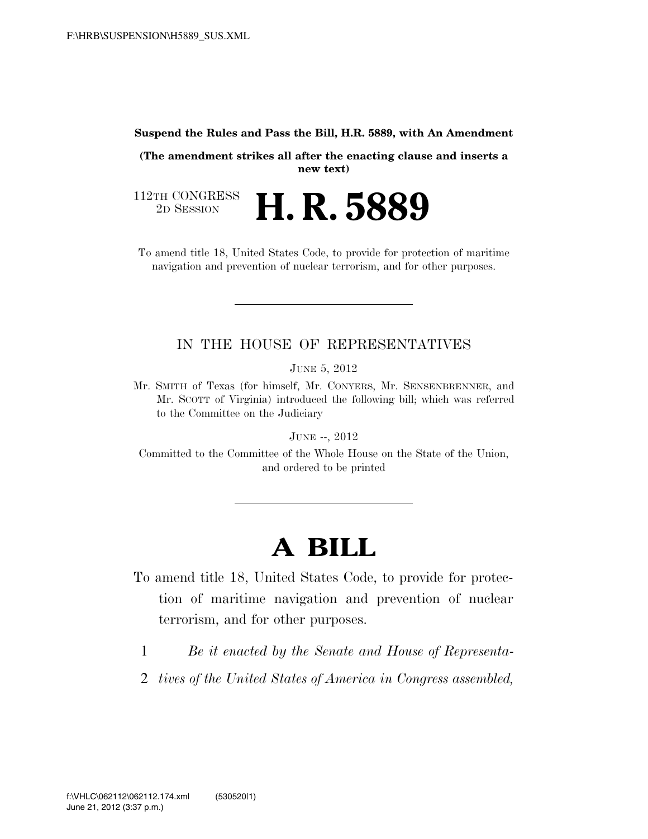#### **Suspend the Rules and Pass the Bill, H.R. 5889, with An Amendment**

**(The amendment strikes all after the enacting clause and inserts a new text)** 

112TH CONGRESS<br>2D SESSION 2D SESSION **H. R. 5889**

To amend title 18, United States Code, to provide for protection of maritime navigation and prevention of nuclear terrorism, and for other purposes.

### IN THE HOUSE OF REPRESENTATIVES

JUNE 5, 2012

Mr. SMITH of Texas (for himself, Mr. CONYERS, Mr. SENSENBRENNER, and Mr. SCOTT of Virginia) introduced the following bill; which was referred to the Committee on the Judiciary

JUNE --, 2012

Committed to the Committee of the Whole House on the State of the Union, and ordered to be printed

# **A BILL**

- To amend title 18, United States Code, to provide for protection of maritime navigation and prevention of nuclear terrorism, and for other purposes.
	- 1 *Be it enacted by the Senate and House of Representa-*
- 2 *tives of the United States of America in Congress assembled,*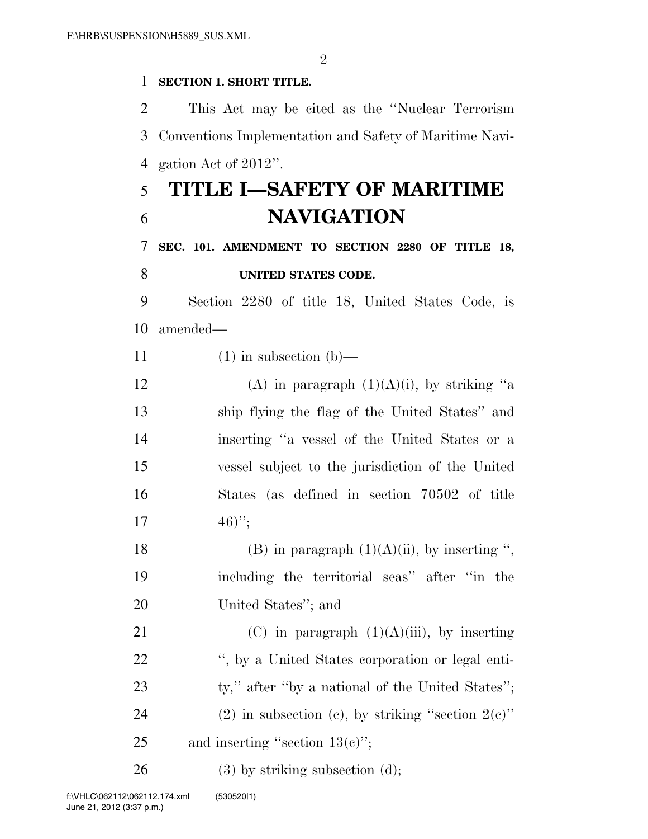$\mathfrak{D}$ 

#### 1 **SECTION 1. SHORT TITLE.**

2 This Act may be cited as the ''Nuclear Terrorism 3 Conventions Implementation and Safety of Maritime Navi-4 gation Act of 2012''.

## 5 **TITLE I—SAFETY OF MARITIME**  6 **NAVIGATION**

### 7 **SEC. 101. AMENDMENT TO SECTION 2280 OF TITLE 18,**  8 **UNITED STATES CODE.**

9 Section 2280 of title 18, United States Code, is 10 amended—

- 11  $(1)$  in subsection  $(b)$ —
- 12 (A) in paragraph  $(1)(A)(i)$ , by striking "a 13 ship flying the flag of the United States'' and 14 inserting ''a vessel of the United States or a 15 vessel subject to the jurisdiction of the United 16 States (as defined in section 70502 of title 17  $46)$ ";
- 18 (B) in paragraph  $(1)(A)(ii)$ , by inserting ", 19 including the territorial seas'' after ''in the 20 United States''; and
- 21 (C) in paragraph  $(1)(A)(iii)$ , by inserting 22 '', by a United States corporation or legal enti-23 ty," after "by a national of the United States"; 24 (2) in subsection (c), by striking "section  $2(e)$ " 25 and inserting "section  $13(e)$ ";

 $26$  (3) by striking subsection (d);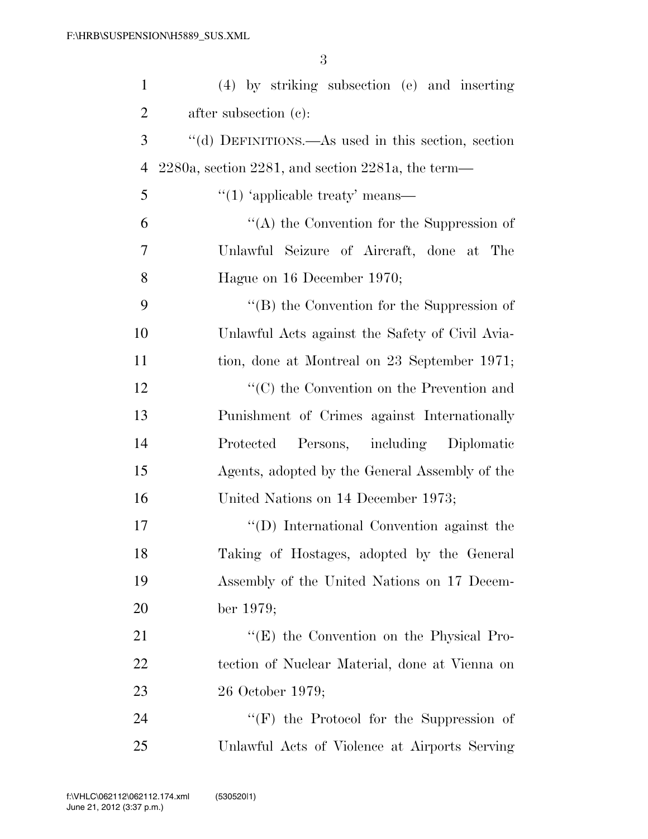| $\mathbf{1}$   | (4) by striking subsection (e) and inserting               |
|----------------|------------------------------------------------------------|
| $\overline{2}$ | after subsection $(c)$ :                                   |
| 3              | "(d) DEFINITIONS.—As used in this section, section         |
| $\overline{4}$ | $2280a$ , section $2281$ , and section $2281a$ , the term— |
| 5              | $\cdot$ (1) 'applicable treaty' means—                     |
| 6              | $\lq\lq$ the Convention for the Suppression of             |
| 7              | Unlawful Seizure of Aircraft, done at The                  |
| 8              | Hague on 16 December 1970;                                 |
| 9              | $\lq\lq (B)$ the Convention for the Suppression of         |
| 10             | Unlawful Acts against the Safety of Civil Avia-            |
| 11             | tion, done at Montreal on 23 September 1971;               |
| 12             | $\cdot$ (C) the Convention on the Prevention and           |
| 13             | Punishment of Crimes against Internationally               |
| 14             | Persons, including Diplomatic<br>Protected                 |
| 15             | Agents, adopted by the General Assembly of the             |
| 16             | United Nations on 14 December 1973;                        |
| 17             | "(D) International Convention against the                  |
| 18             | Taking of Hostages, adopted by the General                 |
| 19             | Assembly of the United Nations on 17 Decem-                |
| 20             | ber 1979;                                                  |
| 21             | "(E) the Convention on the Physical Pro-                   |
| 22             | tection of Nuclear Material, done at Vienna on             |
| 23             | 26 October 1979;                                           |
| 24             | " $(F)$ the Protocol for the Suppression of                |
| 25             | Unlawful Acts of Violence at Airports Serving              |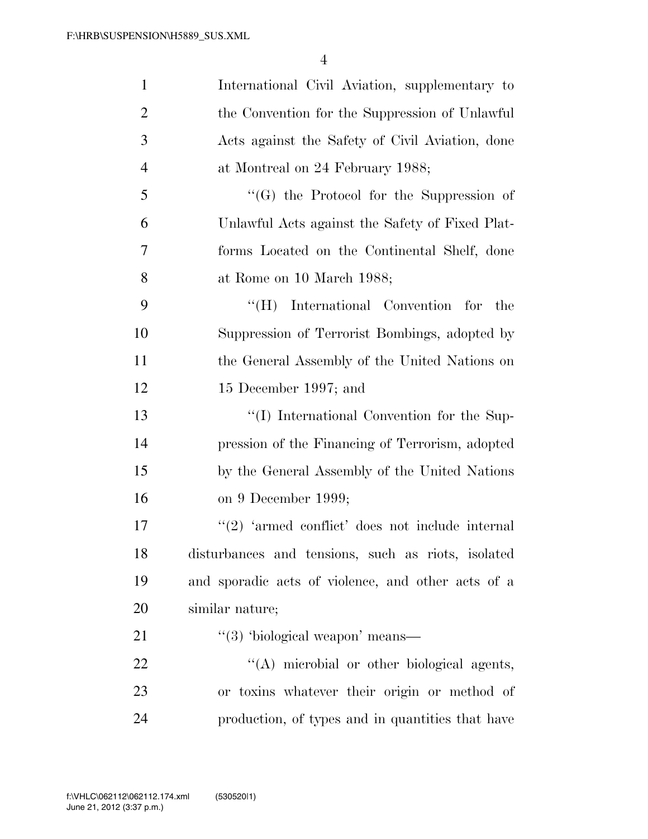| $\mathbf{1}$   | International Civil Aviation, supplementary to         |
|----------------|--------------------------------------------------------|
| $\mathfrak{2}$ | the Convention for the Suppression of Unlawful         |
| 3              | Acts against the Safety of Civil Aviation, done        |
| $\overline{4}$ | at Montreal on 24 February 1988;                       |
| 5              | $\lq\lq(G)$ the Protocol for the Suppression of        |
| 6              | Unlawful Acts against the Safety of Fixed Plat-        |
| 7              | forms Located on the Continental Shelf, done           |
| 8              | at Rome on 10 March 1988;                              |
| 9              | International Convention for<br>$\rm ^{44}$ (H)<br>the |
| 10             | Suppression of Terrorist Bombings, adopted by          |
| 11             | the General Assembly of the United Nations on          |
| 12             | 15 December 1997; and                                  |
| 13             | "(I) International Convention for the Sup-             |
| 14             | pression of the Financing of Terrorism, adopted        |
| 15             | by the General Assembly of the United Nations          |
| 16             | on 9 December 1999;                                    |
| 17             | $\lq(2)$ 'armed conflict' does not include internal    |
| 18             | disturbances and tensions, such as riots, isolated     |
| 19             | and sporadic acts of violence, and other acts of a     |
| 20             | similar nature;                                        |
| 21             | $\lq(3)$ 'biological weapon' means—                    |
| 22             | "(A) microbial or other biological agents,             |
| 23             | or toxins whatever their origin or method of           |
| 24             | production, of types and in quantities that have       |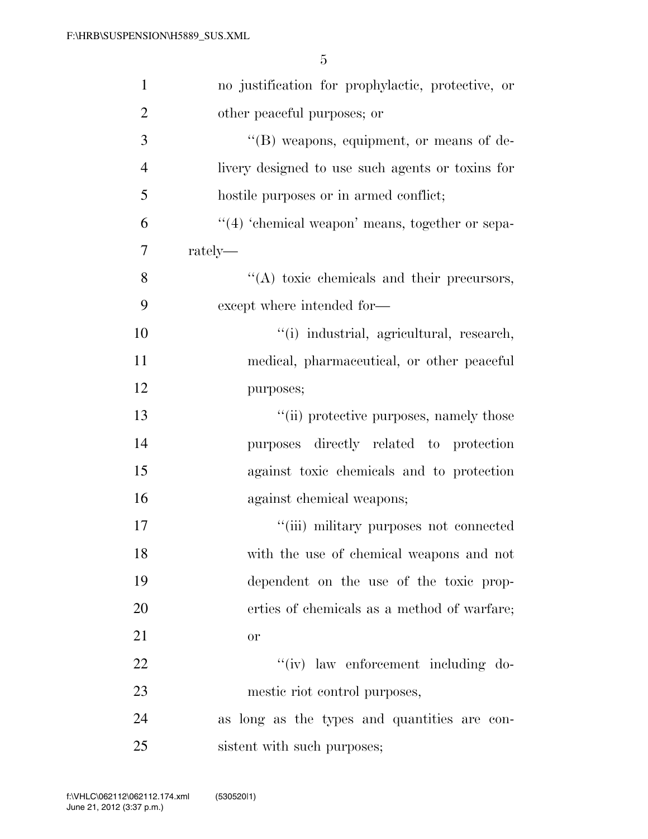| $\mathbf{1}$   | no justification for prophylactic, protective, or   |
|----------------|-----------------------------------------------------|
| $\overline{2}$ | other peaceful purposes; or                         |
| 3              | $\lq\lq (B)$ weapons, equipment, or means of de-    |
| $\overline{4}$ | livery designed to use such agents or toxins for    |
| 5              | hostile purposes or in armed conflict;              |
| 6              | $\lq(4)$ 'chemical weapon' means, together or sepa- |
| 7              | rately—                                             |
| 8              | "(A) toxic chemicals and their precursors,          |
| 9              | except where intended for-                          |
| 10             | "(i) industrial, agricultural, research,            |
| 11             | medical, pharmaceutical, or other peaceful          |
| 12             | purposes;                                           |
| 13             | "(ii) protective purposes, namely those             |
| 14             | purposes directly related to protection             |
| 15             | against toxic chemicals and to protection           |
| 16             | against chemical weapons;                           |
| 17             | "(iii) military purposes not connected              |
| 18             | with the use of chemical weapons and not            |
| 19             | dependent on the use of the toxic prop-             |
| 20             | erties of chemicals as a method of warfare;         |
| 21             | <b>or</b>                                           |
| 22             | "(iv) law enforcement including do-                 |
| 23             | mestic riot control purposes,                       |
| 24             | as long as the types and quantities are con-        |
| 25             | sistent with such purposes;                         |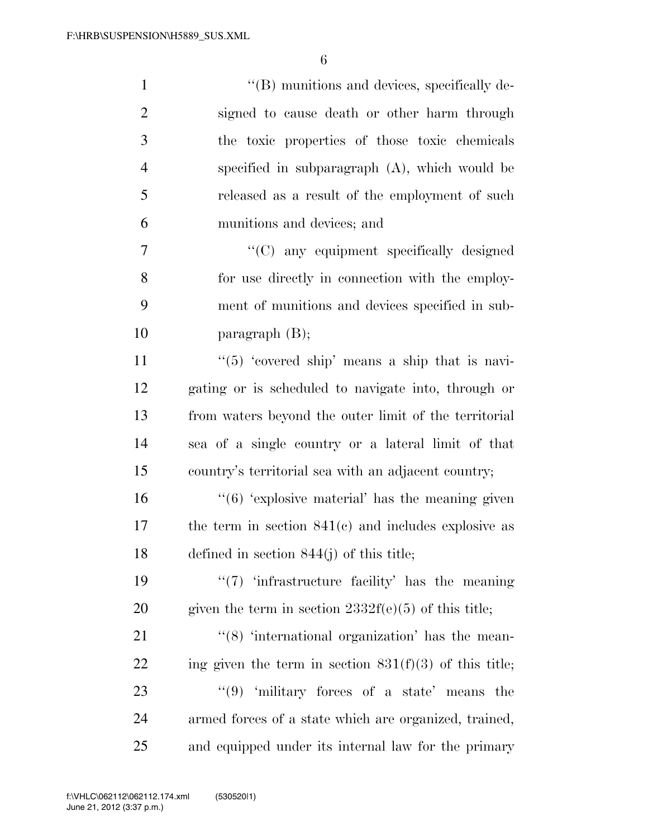| $\mathbf{1}$   | "(B) munitions and devices, specifically de-                            |
|----------------|-------------------------------------------------------------------------|
| $\overline{2}$ | signed to cause death or other harm through                             |
| 3              | the toxic properties of those toxic chemicals                           |
| $\overline{4}$ | specified in subparagraph $(A)$ , which would be                        |
| 5              | released as a result of the employment of such                          |
| 6              | munitions and devices; and                                              |
| $\tau$         | "(C) any equipment specifically designed                                |
| 8              | for use directly in connection with the employ-                         |
| 9              | ment of munitions and devices specified in sub-                         |
| 10             | paragraph $(B)$ ;                                                       |
| 11             | " $(5)$ 'covered ship' means a ship that is navi-                       |
| 12             | gating or is scheduled to navigate into, through or                     |
| 13             | from waters beyond the outer limit of the territorial                   |
| 14             | sea of a single country or a lateral limit of that                      |
| 15             | country's territorial sea with an adjacent country;                     |
| 16             | $\cdot\cdot$ (6) 'explosive material' has the meaning given             |
| 17             | the term in section $841(c)$ and includes explosive as                  |
| 18             | defined in section $844(j)$ of this title;                              |
| 19             | $\lq(7)$ infrastructure facility' has the meaning                       |
| 20             | given the term in section $2332f(e)(5)$ of this title;                  |
| 21             | $\cdot\cdot$ (8) $\cdot\cdot$ international organization' has the mean- |
| 22             | ing given the term in section $831(f)(3)$ of this title;                |
| 23             | "(9) 'military forces of a state' means<br>the                          |
| 24             | armed forces of a state which are organized, trained,                   |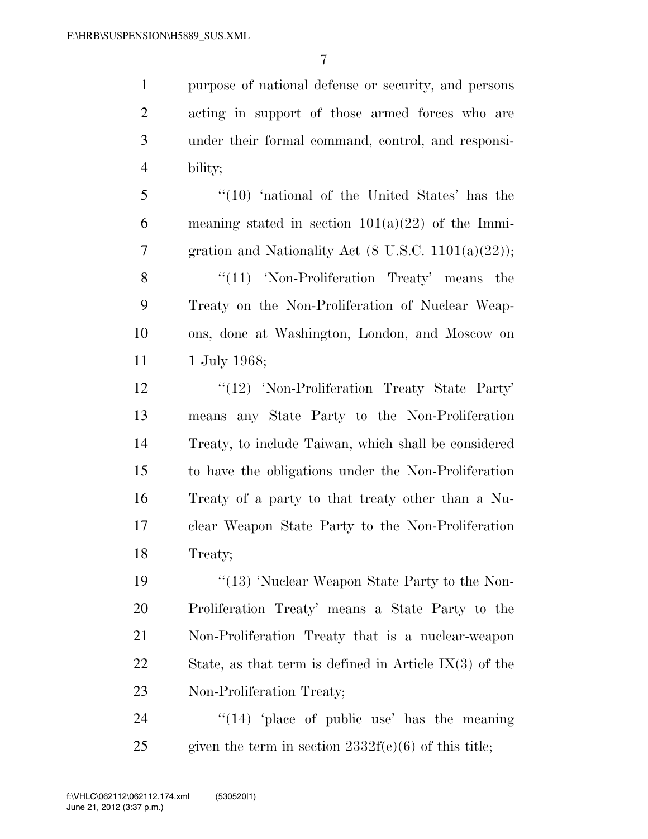purpose of national defense or security, and persons acting in support of those armed forces who are under their formal command, control, and responsi-4 bility;

5 ''(10) 'national of the United States' has the 6 meaning stated in section  $101(a)(22)$  of the Immi-7 gration and Nationality Act  $(8 \text{ U.S.C. } 1101(a)(22))$ ;

8 "(11) 'Non-Proliferation Treaty' means the 9 Treaty on the Non-Proliferation of Nuclear Weap-10 ons, done at Washington, London, and Moscow on 11 1 July 1968;

12 '(12) 'Non-Proliferation Treaty State Party' means any State Party to the Non-Proliferation Treaty, to include Taiwan, which shall be considered to have the obligations under the Non-Proliferation Treaty of a party to that treaty other than a Nu- clear Weapon State Party to the Non-Proliferation 18 Treaty;

19 ''(13) 'Nuclear Weapon State Party to the Non-20 Proliferation Treaty' means a State Party to the 21 Non-Proliferation Treaty that is a nuclear-weapon 22 State, as that term is defined in Article IX(3) of the 23 Non-Proliferation Treaty;

24  $\frac{1}{2}$   $\frac{1}{2}$   $\frac{1}{2}$   $\frac{1}{2}$   $\frac{1}{2}$   $\frac{1}{2}$   $\frac{1}{2}$   $\frac{1}{2}$   $\frac{1}{2}$   $\frac{1}{2}$   $\frac{1}{2}$   $\frac{1}{2}$   $\frac{1}{2}$   $\frac{1}{2}$   $\frac{1}{2}$   $\frac{1}{2}$   $\frac{1}{2}$   $\frac{1}{2}$   $\frac{1}{2}$   $\frac{1}{2}$   $\frac{1}{2}$   $\frac{1}{2}$ 25 given the term in section  $2332f(e)(6)$  of this title;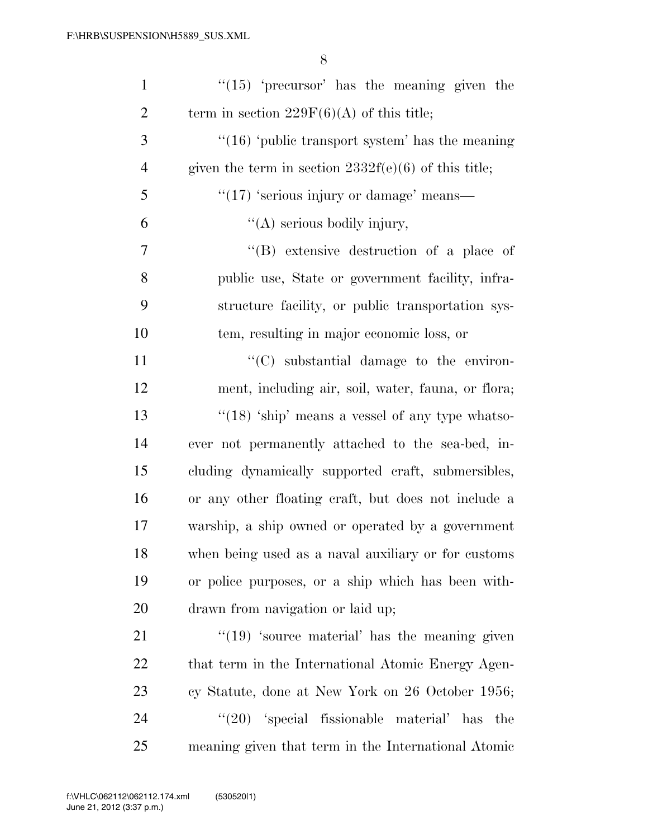| $\mathbf{1}$   | $\lq(15)$ 'precursor' has the meaning given the        |
|----------------|--------------------------------------------------------|
| $\overline{2}$ | term in section $229F(6)(A)$ of this title;            |
| 3              | " $(16)$ 'public transport system' has the meaning     |
| $\overline{4}$ | given the term in section $2332f(e)(6)$ of this title; |
| 5              | $\cdot\cdot(17)$ 'serious injury or damage' means—     |
| 6              | $\lq\lq$ serious bodily injury,                        |
| 7              | $\lq\lq$ extensive destruction of a place of           |
| 8              | public use, State or government facility, infra-       |
| 9              | structure facility, or public transportation sys-      |
| 10             | tem, resulting in major economic loss, or              |
| 11             | "(C) substantial damage to the environ-                |
| 12             | ment, including air, soil, water, fauna, or flora;     |
| 13             | " $(18)$ 'ship' means a vessel of any type whatso-     |
| 14             | ever not permanently attached to the sea-bed, in-      |
| 15             | cluding dynamically supported craft, submersibles,     |
| 16             | or any other floating craft, but does not include a    |
| 17             | warship, a ship owned or operated by a government      |
| 18             | when being used as a naval auxiliary or for customs    |
| 19             | or police purposes, or a ship which has been with-     |
| 20             | drawn from navigation or laid up;                      |
| 21             | $\cdot$ (19) 'source material' has the meaning given   |
| 22             | that term in the International Atomic Energy Agen-     |
| 23             | cy Statute, done at New York on 26 October 1956;       |
| 24             | $\lq(20)$ 'special fissionable material' has<br>the    |
| 25             | meaning given that term in the International Atomic    |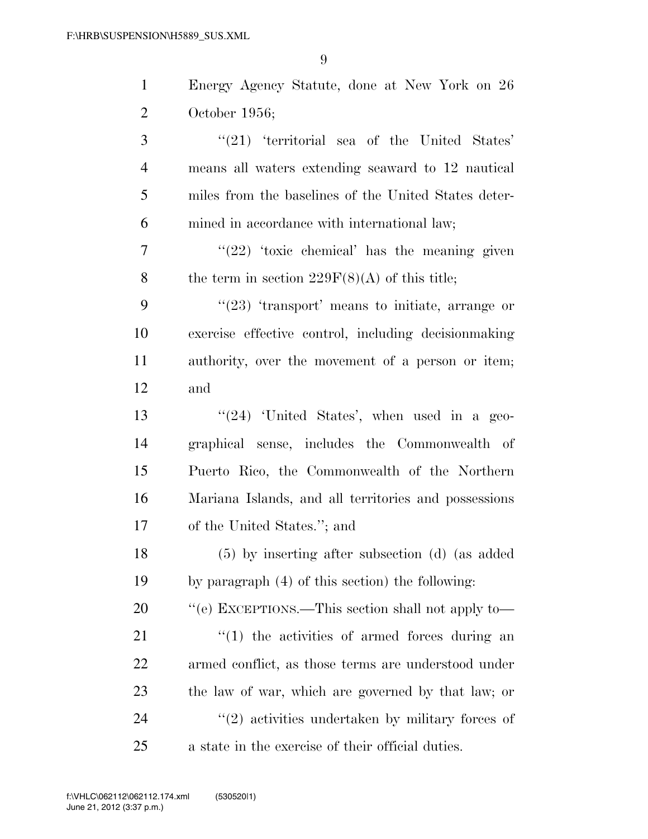| $\mathbf{1}$   | Energy Agency Statute, done at New York on 26        |
|----------------|------------------------------------------------------|
| 2              | October $1956$ ;                                     |
| 3              | $\lq(21)$ 'territorial sea of the United States'     |
| $\overline{4}$ | means all waters extending seaward to 12 nautical    |
| 5              | miles from the baselines of the United States deter- |
| 6              | mined in accordance with international law;          |
| 7              | " $(22)$ 'toxic chemical' has the meaning given      |
| 8              | the term in section $229F(8)(A)$ of this title;      |
| 9              | $\lq(23)$ 'transport' means to initiate, arrange or  |
| 10             | exercise effective control, including decisionmaking |
| 11             | authority, over the movement of a person or item;    |
| 12             | and                                                  |
| 13             | " $(24)$ 'United States', when used in a geo-        |
| 14             | graphical sense, includes the Commonwealth of        |
| 15             | Puerto Rico, the Commonwealth of the Northern        |
| 16             | Mariana Islands, and all territories and possessions |
| 17             | of the United States."; and                          |
| 18             | $(5)$ by inserting after subsection (d) (as added    |
| 19             | by paragraph (4) of this section) the following:     |
| 20             | "(e) EXCEPTIONS.—This section shall not apply to—    |
| 21             | $\lq(1)$ the activities of armed forces during an    |
| 22             | armed conflict, as those terms are understood under  |
| 23             | the law of war, which are governed by that law; or   |
| 24             | $\lq(2)$ activities undertaken by military forces of |
| 25             | a state in the exercise of their official duties.    |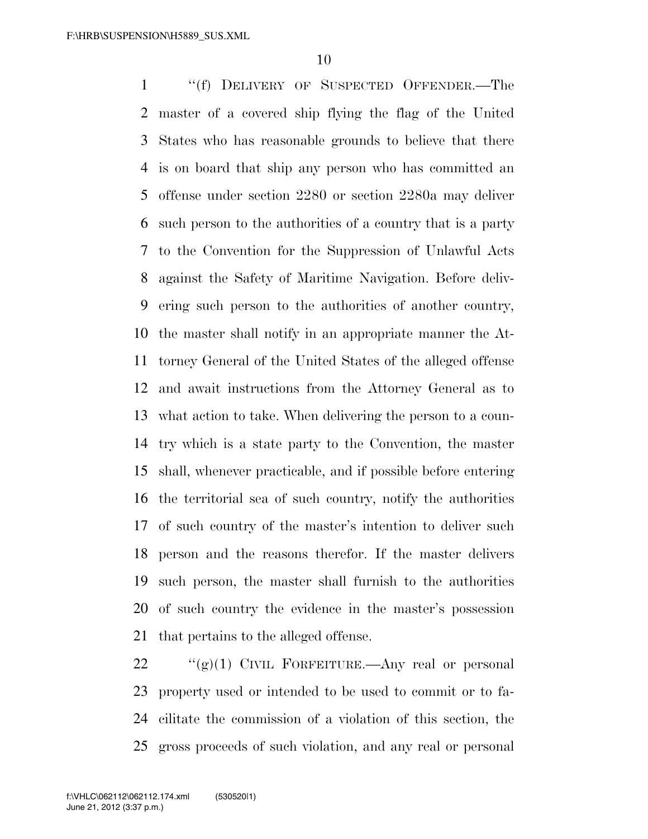''(f) DELIVERY OF SUSPECTED OFFENDER.—The master of a covered ship flying the flag of the United States who has reasonable grounds to believe that there is on board that ship any person who has committed an offense under section 2280 or section 2280a may deliver such person to the authorities of a country that is a party to the Convention for the Suppression of Unlawful Acts against the Safety of Maritime Navigation. Before deliv- ering such person to the authorities of another country, the master shall notify in an appropriate manner the At- torney General of the United States of the alleged offense and await instructions from the Attorney General as to what action to take. When delivering the person to a coun- try which is a state party to the Convention, the master shall, whenever practicable, and if possible before entering the territorial sea of such country, notify the authorities of such country of the master's intention to deliver such person and the reasons therefor. If the master delivers such person, the master shall furnish to the authorities of such country the evidence in the master's possession that pertains to the alleged offense.

 $\frac{((g)(1))}{(g)(1)}$  CIVIL FORFEITURE.—Any real or personal property used or intended to be used to commit or to fa- cilitate the commission of a violation of this section, the gross proceeds of such violation, and any real or personal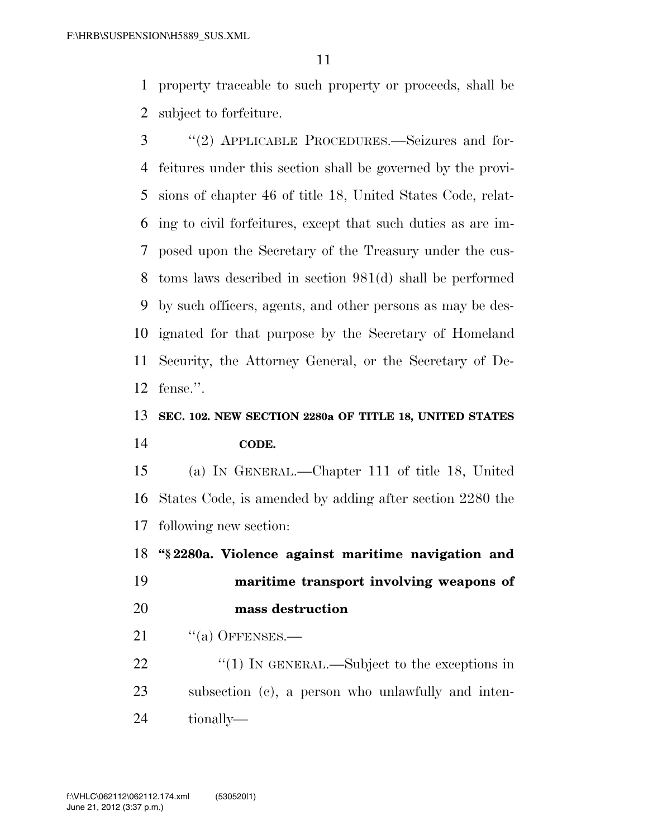property traceable to such property or proceeds, shall be subject to forfeiture.

 ''(2) APPLICABLE PROCEDURES.—Seizures and for- feitures under this section shall be governed by the provi- sions of chapter 46 of title 18, United States Code, relat- ing to civil forfeitures, except that such duties as are im- posed upon the Secretary of the Treasury under the cus- toms laws described in section 981(d) shall be performed by such officers, agents, and other persons as may be des- ignated for that purpose by the Secretary of Homeland Security, the Attorney General, or the Secretary of De-fense.''.

### **SEC. 102. NEW SECTION 2280a OF TITLE 18, UNITED STATES CODE.**

 (a) IN GENERAL.—Chapter 111 of title 18, United States Code, is amended by adding after section 2280 the following new section:

**''§ 2280a. Violence against maritime navigation and** 

 **maritime transport involving weapons of mass destruction** 

"(a) OFFENSES.—

22  $\frac{1}{2}$  (1) In GENERAL.—Subject to the exceptions in subsection (c), a person who unlawfully and inten-tionally—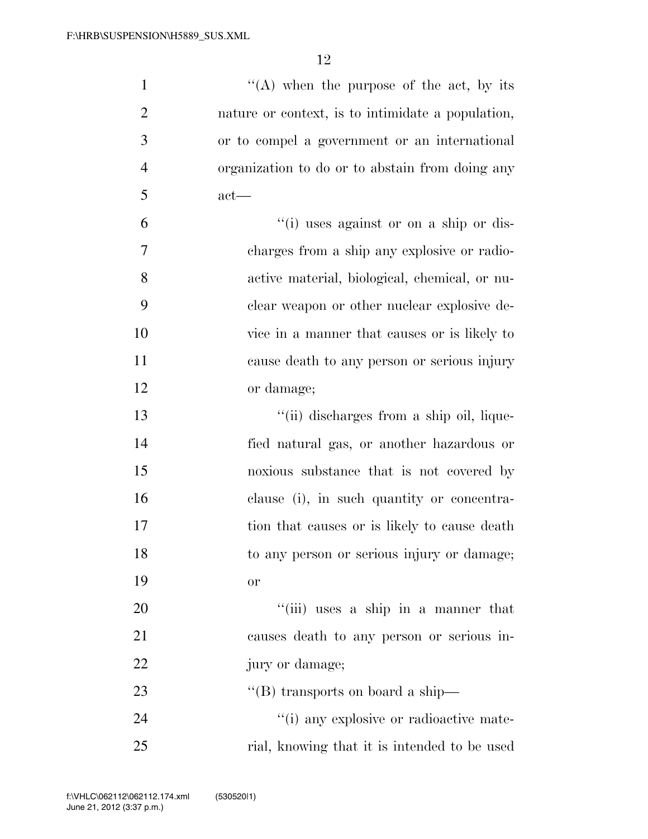| $\mathbf{1}$   | "(A) when the purpose of the act, by its          |
|----------------|---------------------------------------------------|
| $\overline{2}$ | nature or context, is to intimidate a population, |
| 3              | or to compel a government or an international     |
| $\overline{4}$ | organization to do or to abstain from doing any   |
| 5              | $act$ —                                           |
| 6              | "(i) uses against or on a ship or dis-            |
| 7              | charges from a ship any explosive or radio-       |
| 8              | active material, biological, chemical, or nu-     |
| 9              | clear weapon or other nuclear explosive de-       |
| 10             | vice in a manner that causes or is likely to      |
| 11             | cause death to any person or serious injury       |
| 12             | or damage;                                        |
| 13             | "(ii) discharges from a ship oil, lique-          |
| 14             | fied natural gas, or another hazardous or         |
| 15             | noxious substance that is not covered by          |
| 16             | clause (i), in such quantity or concentra-        |
| 17             | tion that causes or is likely to cause death      |
| 18             | to any person or serious injury or damage;        |
| 19             | or                                                |
| 20             | "(iii) uses a ship in a manner that               |
| 21             | causes death to any person or serious in-         |
| 22             | jury or damage;                                   |
| 23             | "(B) transports on board a ship—                  |
| 24             | "(i) any explosive or radioactive mate-           |
| 25             | rial, knowing that it is intended to be used      |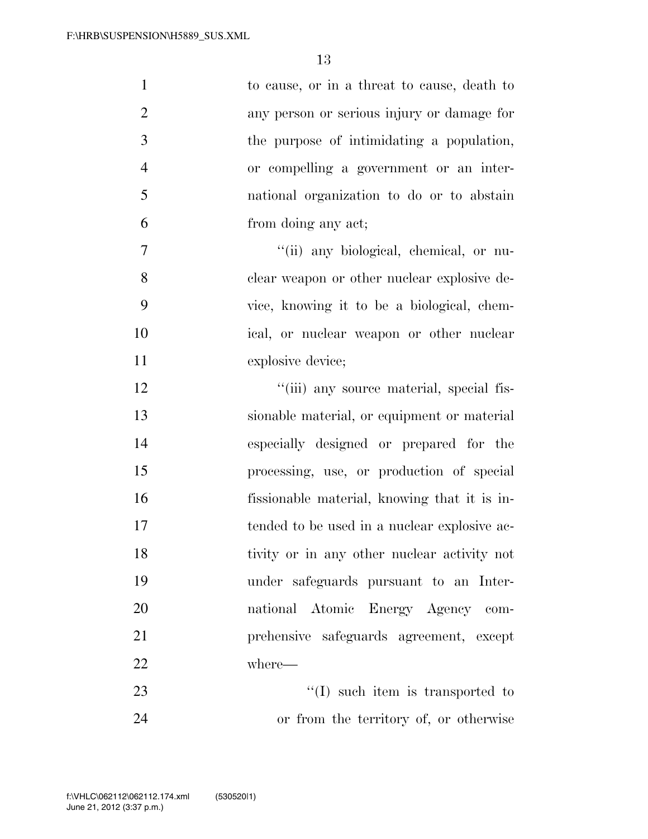| $\mathbf{1}$   | to cause, or in a threat to cause, death to  |
|----------------|----------------------------------------------|
| $\overline{2}$ | any person or serious injury or damage for   |
| 3              | the purpose of intimidating a population,    |
| $\overline{4}$ | or compelling a government or an inter-      |
| 5              | national organization to do or to abstain    |
| 6              | from doing any act;                          |
| $\overline{7}$ | "(ii) any biological, chemical, or nu-       |
| 8              | clear weapon or other nuclear explosive de-  |
| 9              | vice, knowing it to be a biological, chem-   |
| 10             | ical, or nuclear weapon or other nuclear     |
| 11             | explosive device;                            |
| 12             | "(iii) any source material, special fis-     |
| 13             | sionable material, or equipment or material  |
| 14             | especially designed or prepared for the      |
| 15             | processing, use, or production of special    |
| 16             | fissionable material, knowing that it is in- |
| 17             | tended to be used in a nuclear explosive ac- |
| 18             | tivity or in any other nuclear activity not  |
| 19             | under safeguards pursuant to an Inter-       |
| 20             | national Atomic Energy Agency com-           |
| 21             | prehensive safeguards agreement, except      |
| 22             | where—                                       |
| 23             | $\lq (I)$ such item is transported to        |
| 24             | or from the territory of, or otherwise       |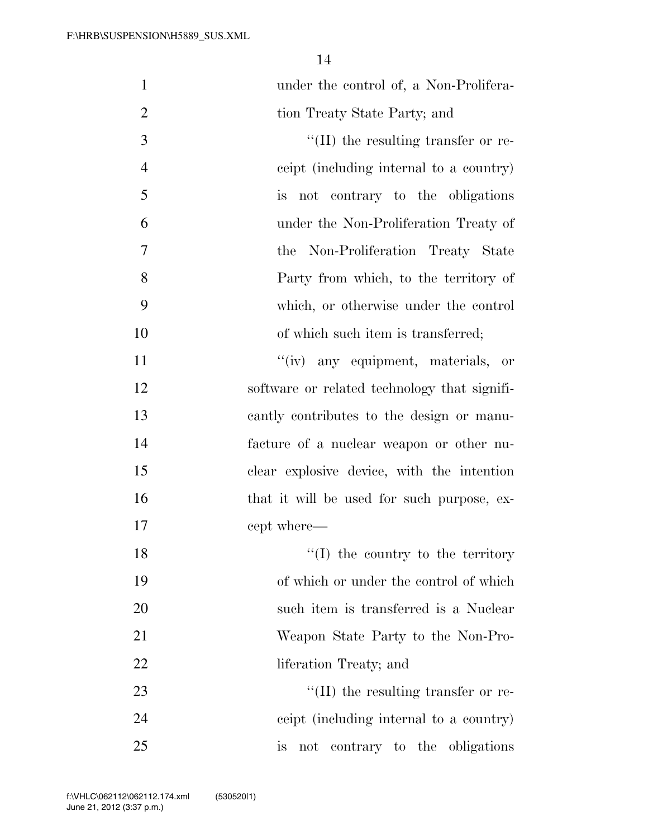| $\mathbf{1}$   | under the control of, a Non-Prolifera-       |
|----------------|----------------------------------------------|
| $\overline{2}$ | tion Treaty State Party; and                 |
| 3              | $\lq\lq$ (II) the resulting transfer or re-  |
| $\overline{4}$ | ceipt (including internal to a country)      |
| 5              | is not contrary to the obligations           |
| 6              | under the Non-Proliferation Treaty of        |
| 7              | the Non-Proliferation Treaty State           |
| 8              | Party from which, to the territory of        |
| 9              | which, or otherwise under the control        |
| 10             | of which such item is transferred;           |
| 11             | "(iv) any equipment, materials, or           |
| 12             | software or related technology that signifi- |
| 13             | cantly contributes to the design or manu-    |
| 14             | facture of a nuclear weapon or other nu-     |
| 15             | clear explosive device, with the intention   |
| 16             | that it will be used for such purpose, ex-   |
| 17             | cept where—                                  |
| 18             | $\lq\lq$ (I) the country to the territory    |
| 19             | of which or under the control of which       |
| 20             | such item is transferred is a Nuclear        |
| 21             | Weapon State Party to the Non-Pro-           |
| 22             | liferation Treaty; and                       |
| 23             | $\lq\lq$ (II) the resulting transfer or re-  |
| 24             | ceipt (including internal to a country)      |
| 25             | not contrary to the obligations<br><i>is</i> |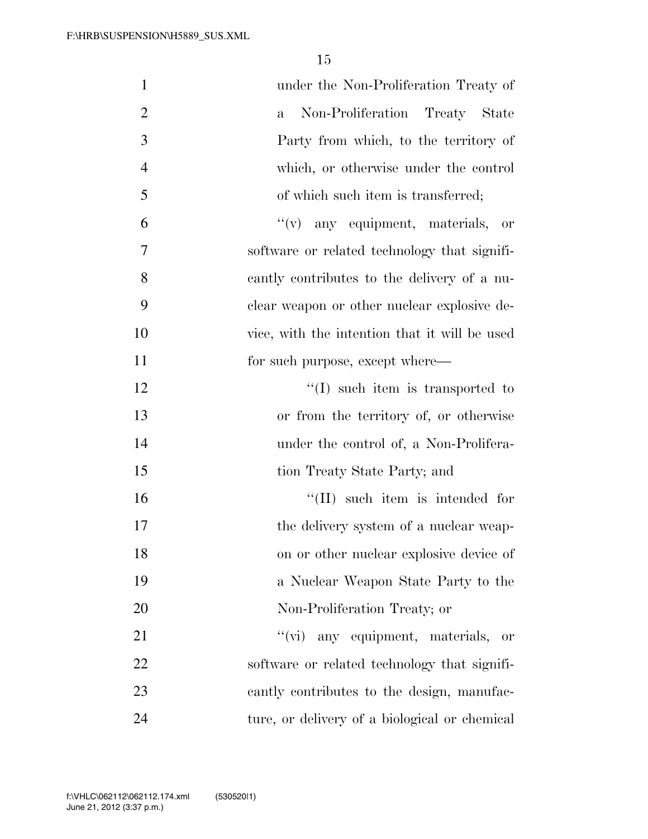| $\mathbf{1}$   | under the Non-Proliferation Treaty of          |
|----------------|------------------------------------------------|
| $\overline{2}$ | Non-Proliferation Treaty State<br>$\mathbf{a}$ |
| 3              | Party from which, to the territory of          |
| $\overline{4}$ | which, or otherwise under the control          |
| 5              | of which such item is transferred;             |
| 6              | "(v) any equipment, materials, or              |
| 7              | software or related technology that signifi-   |
| 8              | cantly contributes to the delivery of a nu-    |
| 9              | clear weapon or other nuclear explosive de-    |
| 10             | vice, with the intention that it will be used  |
| 11             | for such purpose, except where—                |
| 12             | $\lq\lq$ such item is transported to           |
| 13             | or from the territory of, or otherwise         |
| 14             | under the control of, a Non-Prolifera-         |
| 15             | tion Treaty State Party; and                   |
| 16             | $\lq\lq$ (II) such item is intended for        |
| 17             | the delivery system of a nuclear weap-         |
| 18             | on or other nuclear explosive device of        |
| 19             | a Nuclear Weapon State Party to the            |
| 20             | Non-Proliferation Treaty; or                   |
| 21             | ``(vi)<br>any equipment, materials, or         |
| 22             | software or related technology that signifi-   |
| 23             | cantly contributes to the design, manufac-     |
| 24             | ture, or delivery of a biological or chemical  |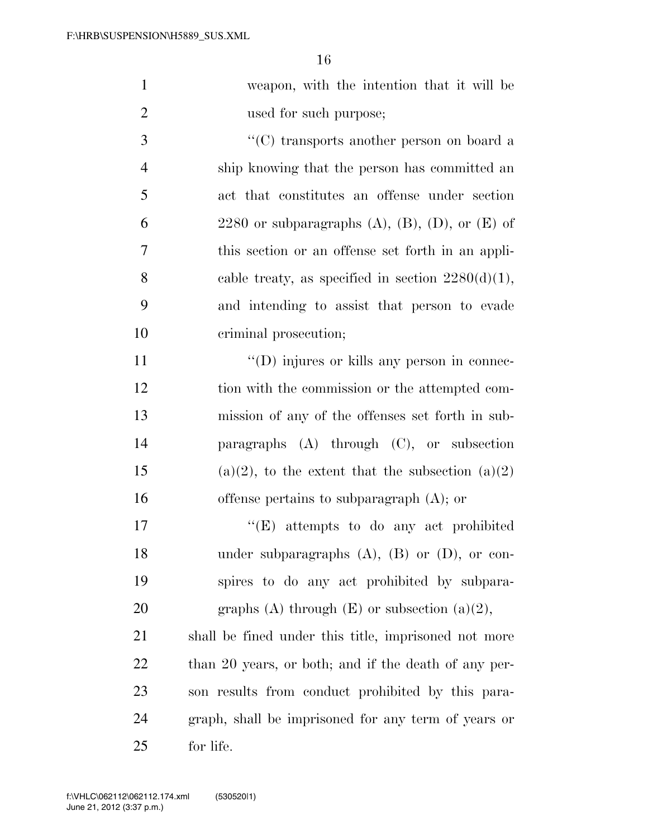|   | weapon, with the intention that it will be    |
|---|-----------------------------------------------|
| 2 | used for such purpose;                        |
|   | $\lq\lq$ transports another person on board a |
|   | ship knowing that the person has committed an |
|   | act that constitutes an offense under section |

6 2280 or subparagraphs  $(A)$ ,  $(B)$ ,  $(D)$ , or  $(E)$  of 7 this section or an offense set forth in an appli-8 cable treaty, as specified in section  $2280(d)(1)$ , 9 and intending to assist that person to evade 10 criminal prosecution;

 $''(D)$  injures or kills any person in connec-12 tion with the commission or the attempted com- mission of any of the offenses set forth in sub- paragraphs (A) through (C), or subsection 15 (a)(2), to the extent that the subsection (a)(2) offense pertains to subparagraph (A); or

17  $\langle$  (E) attempts to do any act prohibited 18 under subparagraphs (A), (B) or (D), or con-19 spires to do any act prohibited by subpara-20 graphs (A) through  $(E)$  or subsection  $(a)(2)$ ,

 shall be fined under this title, imprisoned not more 22 than 20 years, or both; and if the death of any per- son results from conduct prohibited by this para- graph, shall be imprisoned for any term of years or for life.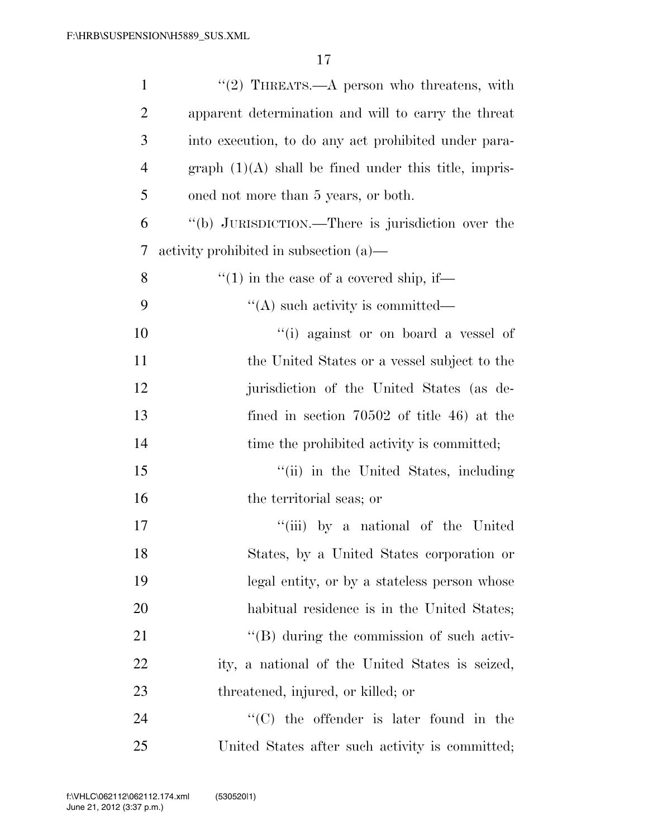| $\mathbf{1}$   | "(2) THREATS.—A person who threatens, with              |
|----------------|---------------------------------------------------------|
| $\overline{2}$ | apparent determination and will to carry the threat     |
| 3              | into execution, to do any act prohibited under para-    |
| $\overline{4}$ | $graph (1)(A) shall be fired under this title, impris-$ |
| 5              | oned not more than 5 years, or both.                    |
| 6              | "(b) JURISDICTION.—There is jurisdiction over the       |
| 7              | activity prohibited in subsection (a)—                  |
| 8              | $\cdot$ (1) in the case of a covered ship, if—          |
| 9              | $\lq\lq$ such activity is committed—                    |
| 10             | "(i) against or on board a vessel of                    |
| 11             | the United States or a vessel subject to the            |
| 12             | jurisdiction of the United States (as de-               |
| 13             | fined in section $70502$ of title 46) at the            |
| 14             | time the prohibited activity is committed;              |
| 15             | "(ii) in the United States, including                   |
| 16             | the territorial seas; or                                |
| 17             | "(iii) by a national of the United                      |
| 18             | States, by a United States corporation or               |
| 19             | legal entity, or by a stateless person whose            |
| 20             | habitual residence is in the United States;             |
| 21             | $\lq\lq (B)$ during the commission of such activ-       |
| 22             | ity, a national of the United States is seized,         |
| 23             | threatened, injured, or killed; or                      |
| 24             | $\lq\lq$ (C) the offender is later found in the         |
| 25             | United States after such activity is committed;         |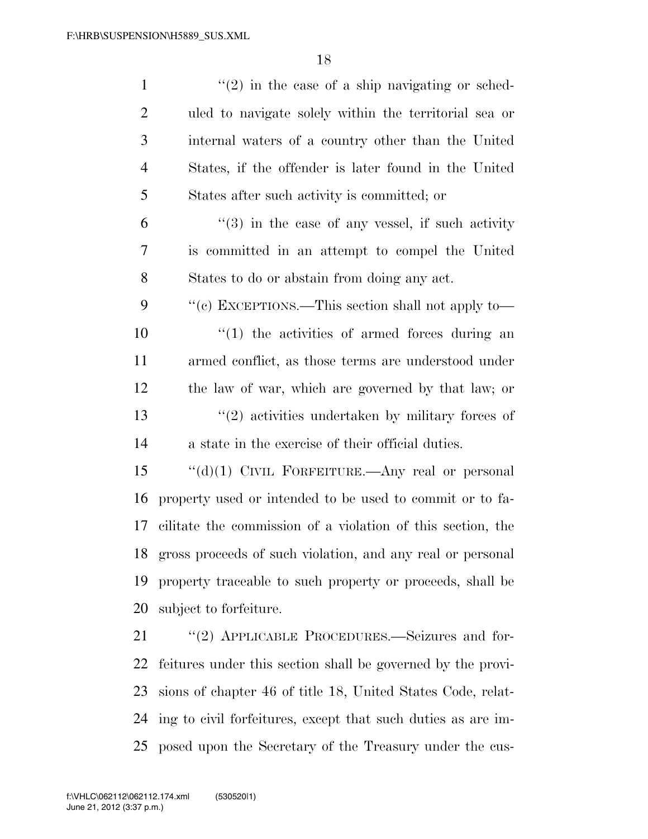| $\mathbf{1}$ | $\lq(2)$ in the case of a ship navigating or sched-          |
|--------------|--------------------------------------------------------------|
| 2            | uled to navigate solely within the territorial sea or        |
| 3            | internal waters of a country other than the United           |
| 4            | States, if the offender is later found in the United         |
| 5            | States after such activity is committed; or                  |
| 6            | $(3)$ in the case of any vessel, if such activity            |
| 7            | is committed in an attempt to compel the United              |
| 8            | States to do or abstain from doing any act.                  |
| 9            | "(c) EXCEPTIONS.—This section shall not apply to—            |
| 10           | $\lq(1)$ the activities of armed forces during an            |
| 11           | armed conflict, as those terms are understood under          |
| 12           | the law of war, which are governed by that law; or           |
| 13           | $\lq(2)$ activities undertaken by military forces of         |
| 14           | a state in the exercise of their official duties.            |
| 15           | " $(d)(1)$ CIVIL FORFEITURE.—Any real or personal            |
| 16           | property used or intended to be used to commit or to fa-     |
| 17           | cilitate the commission of a violation of this section, the  |
| 18           | gross proceeds of such violation, and any real or personal   |
| 19           | property traceable to such property or proceeds, shall be    |
| 20           | subject to forfeiture.                                       |
| 21           | "(2) APPLICABLE PROCEDURES.—Seizures and for-                |
| 22           | feitures under this section shall be governed by the provi-  |
| 23           | sions of chapter 46 of title 18, United States Code, relat-  |
| 24           | ing to civil forfeitures, except that such duties as are im- |

posed upon the Secretary of the Treasury under the cus-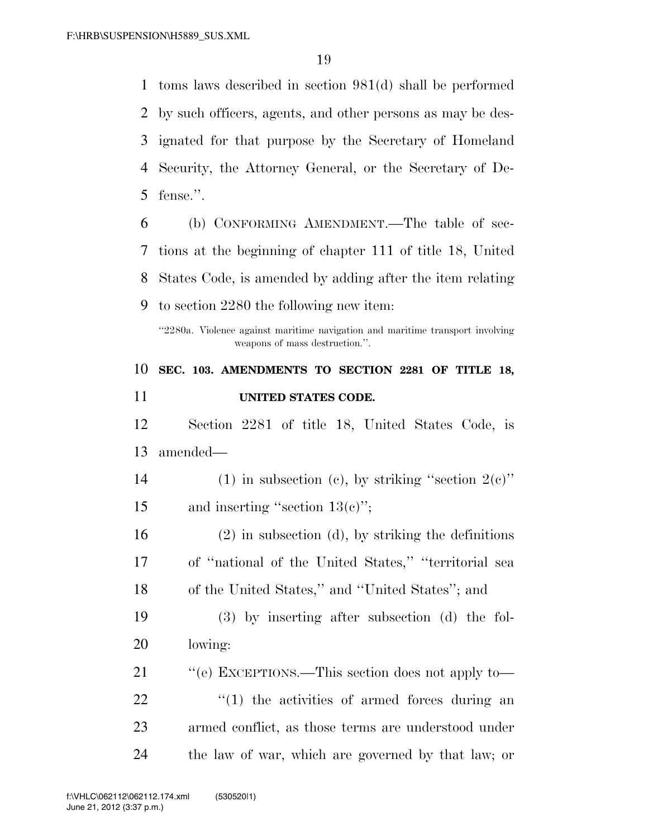toms laws described in section 981(d) shall be performed by such officers, agents, and other persons as may be des- ignated for that purpose by the Secretary of Homeland Security, the Attorney General, or the Secretary of De- fense.''. (b) CONFORMING AMENDMENT.—The table of sec- tions at the beginning of chapter 111 of title 18, United States Code, is amended by adding after the item relating to section 2280 the following new item:

''2280a. Violence against maritime navigation and maritime transport involving weapons of mass destruction.''.

 **SEC. 103. AMENDMENTS TO SECTION 2281 OF TITLE 18, UNITED STATES CODE.** 

 Section 2281 of title 18, United States Code, is amended—

14 (1) in subsection (c), by striking "section  $2(e)$ " 15 and inserting "section 13(c)";

 (2) in subsection (d), by striking the definitions of ''national of the United States,'' ''territorial sea of the United States,'' and ''United States''; and

 (3) by inserting after subsection (d) the fol-lowing:

21 "'(e) EXCEPTIONS.—This section does not apply to—  $\qquad$   $\qquad$   $\qquad$   $\qquad$   $\qquad$   $\qquad$   $\qquad$   $\qquad$   $\qquad$   $\qquad$   $\qquad$   $\qquad$   $\qquad$   $\qquad$   $\qquad$   $\qquad$   $\qquad$   $\qquad$   $\qquad$   $\qquad$   $\qquad$   $\qquad$   $\qquad$   $\qquad$   $\qquad$   $\qquad$   $\qquad$   $\qquad$   $\qquad$   $\qquad$   $\qquad$   $\qquad$   $\qquad$   $\qquad$   $\qquad$   $\qquad$  armed conflict, as those terms are understood under the law of war, which are governed by that law; or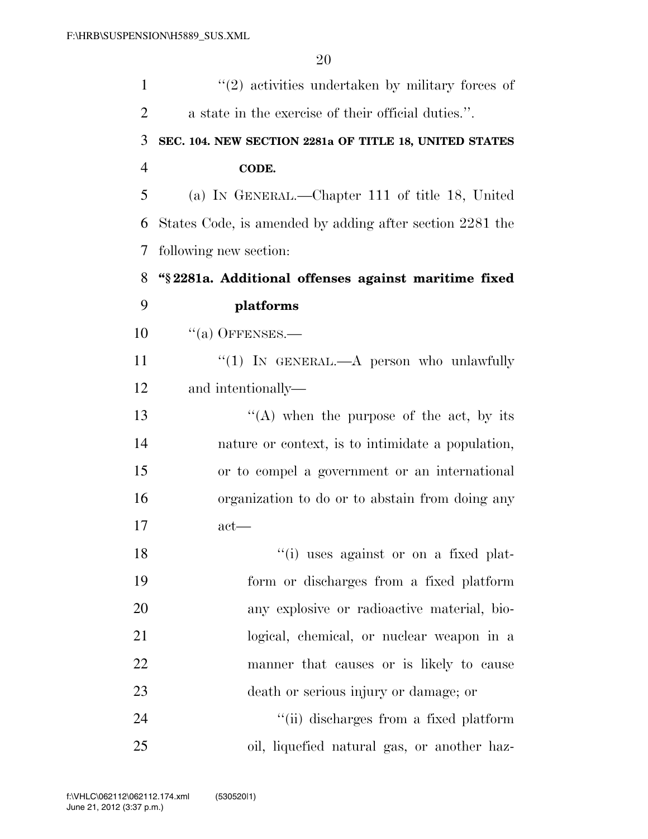| $\mathbf{1}$   | $\lq(2)$ activities undertaken by military forces of     |
|----------------|----------------------------------------------------------|
| $\overline{2}$ | a state in the exercise of their official duties.".      |
| 3              | SEC. 104. NEW SECTION 2281a OF TITLE 18, UNITED STATES   |
| $\overline{4}$ | CODE.                                                    |
| 5              | (a) IN GENERAL.—Chapter 111 of title 18, United          |
| 6              | States Code, is amended by adding after section 2281 the |
| 7              | following new section:                                   |
| 8              | "§ 2281a. Additional offenses against maritime fixed     |
| 9              | platforms                                                |
| 10             | $``(a)$ OFFENSES.—                                       |
| 11             | "(1) IN GENERAL.—A person who unlawfully                 |
| 12             | and intentionally—                                       |
| 13             | "(A) when the purpose of the act, by its                 |
| 14             | nature or context, is to intimidate a population,        |
| 15             | or to compel a government or an international            |
| 16             | organization to do or to abstain from doing any          |
| 17             | $act$ —                                                  |
| 18             | "(i) uses against or on a fixed plat-                    |
| 19             | form or discharges from a fixed platform                 |
| 20             | any explosive or radioactive material, bio-              |
| 21             | logical, chemical, or nuclear weapon in a                |
| 22             | manner that causes or is likely to cause                 |
| 23             | death or serious injury or damage; or                    |
| 24             | "(ii) discharges from a fixed platform                   |
| 25             | oil, liquefied natural gas, or another haz-              |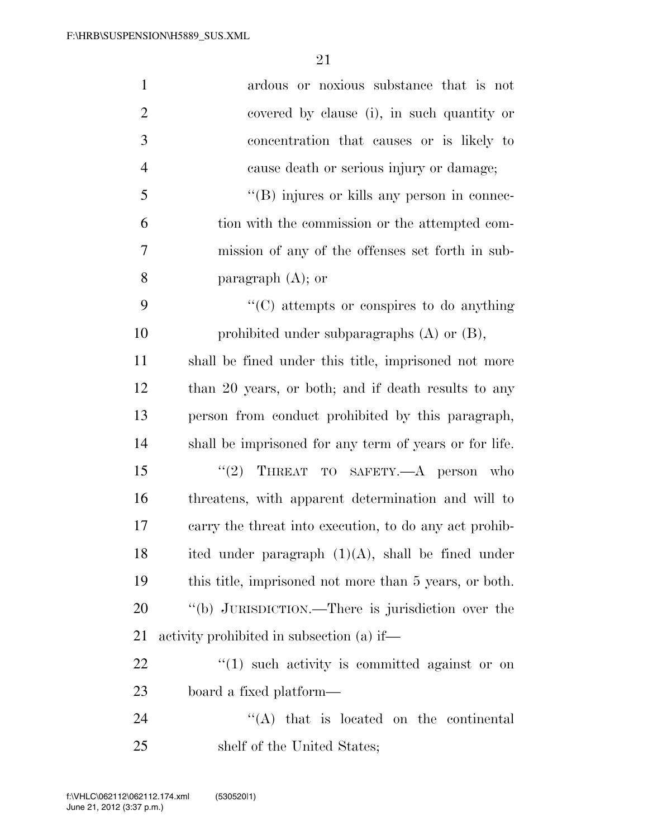| $\mathbf{1}$   | ardous or noxious substance that is not                |
|----------------|--------------------------------------------------------|
| $\overline{2}$ | covered by clause (i), in such quantity or             |
| 3              | concentration that causes or is likely to              |
| $\overline{4}$ | cause death or serious injury or damage;               |
| 5              | $\lq\lq$ (B) injures or kills any person in connec-    |
| 6              | tion with the commission or the attempted com-         |
| 7              | mission of any of the offenses set forth in sub-       |
| 8              | paragraph $(A)$ ; or                                   |
| 9              | $\lq\lq$ (C) attempts or conspires to do anything      |
| 10             | prohibited under subparagraphs $(A)$ or $(B)$ ,        |
| 11             | shall be fined under this title, imprisoned not more   |
| 12             | than 20 years, or both; and if death results to any    |
| 13             | person from conduct prohibited by this paragraph,      |
| 14             | shall be imprisoned for any term of years or for life. |
| 15             | THREAT TO SAFETY.- A person who<br>(2)                 |
| 16             | threatens, with apparent determination and will to     |
| 17             | carry the threat into execution, to do any act prohib- |
| 18             | ited under paragraph $(1)(A)$ , shall be fined under   |
| 19             | this title, imprisoned not more than 5 years, or both. |
| 20             | "(b) JURISDICTION.—There is jurisdiction over the      |
| 21             | activity prohibited in subsection (a) if—              |
| 22             | $\lq(1)$ such activity is committed against or on      |
| 23             | board a fixed platform—                                |
| 24             | $\lq\lq$ that is located on the continental            |
| 25             | shelf of the United States;                            |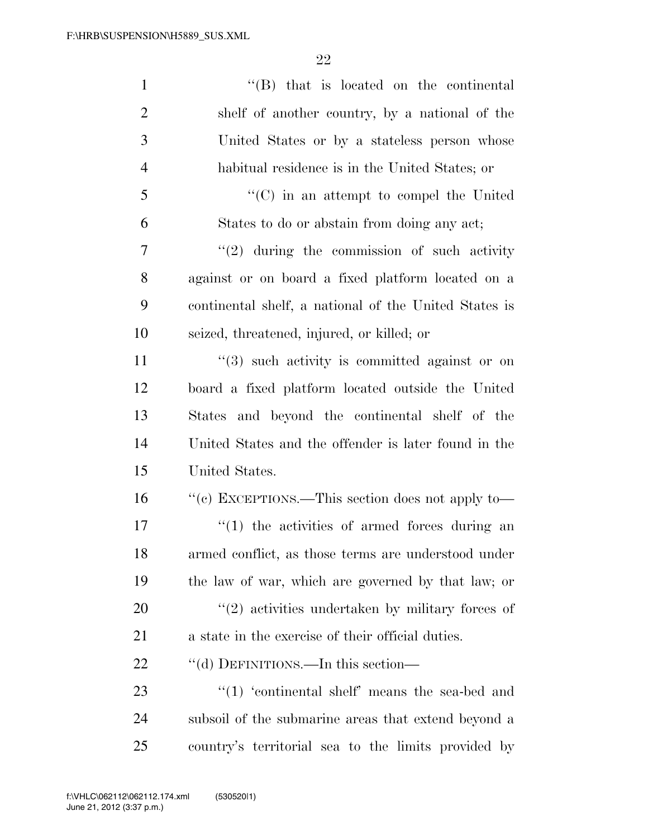| $\mathbf{1}$   | $\lq\lq$ that is located on the continental           |
|----------------|-------------------------------------------------------|
| $\overline{2}$ | shelf of another country, by a national of the        |
| 3              | United States or by a stateless person whose          |
| $\overline{4}$ | habitual residence is in the United States; or        |
| 5              | $\cdot\cdot$ (C) in an attempt to compel the United   |
| 6              | States to do or abstain from doing any act;           |
| 7              | $"(2)$ during the commission of such activity         |
| 8              | against or on board a fixed platform located on a     |
| 9              | continental shelf, a national of the United States is |
| 10             | seized, threatened, injured, or killed; or            |
| 11             | $(3)$ such activity is committed against or on        |
| 12             | board a fixed platform located outside the United     |
| 13             | States and beyond the continental shelf of the        |
| 14             | United States and the offender is later found in the  |
| 15             | United States.                                        |
| 16             | "(c) EXCEPTIONS.—This section does not apply to—      |
| 17             | $\lq(1)$ the activities of armed forces during an     |
| 18             | armed conflict, as those terms are understood under   |
| 19             | the law of war, which are governed by that law; or    |
| 20             | $\lq(2)$ activities undertaken by military forces of  |
| 21             | a state in the exercise of their official duties.     |
| 22             | "(d) DEFINITIONS.—In this section—                    |
| 23             | $\cdot$ (1) 'continental shelf' means the sea-bed and |
| 24             | subsoil of the submarine areas that extend beyond a   |
| 25             | country's territorial sea to the limits provided by   |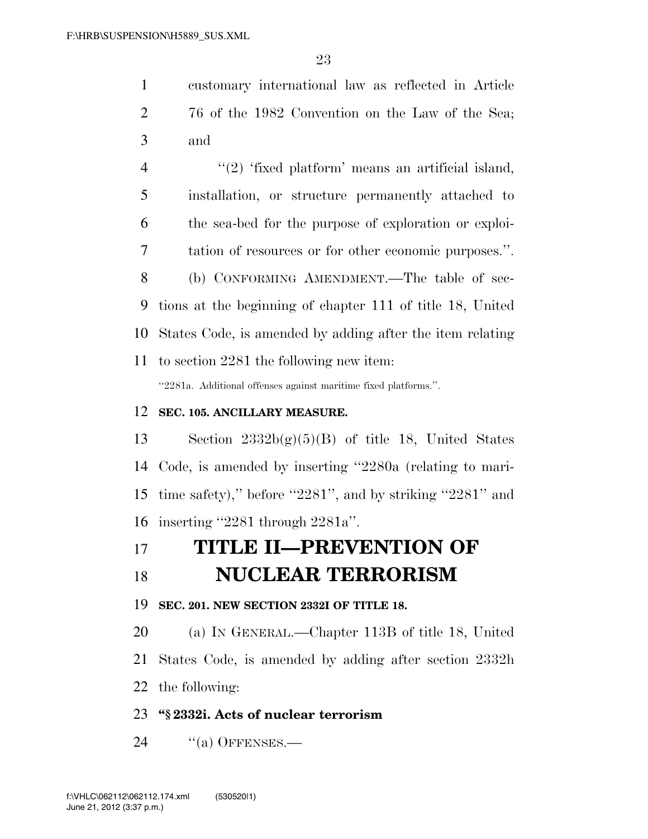customary international law as reflected in Article 76 of the 1982 Convention on the Law of the Sea; and

 $\frac{4}{2}$  ''(2) 'fixed platform' means an artificial island, installation, or structure permanently attached to the sea-bed for the purpose of exploration or exploi- tation of resources or for other economic purposes.''. (b) CONFORMING AMENDMENT.—The table of sec- tions at the beginning of chapter 111 of title 18, United States Code, is amended by adding after the item relating to section 2281 the following new item: ''2281a. Additional offenses against maritime fixed platforms.''.

#### **SEC. 105. ANCILLARY MEASURE.**

13 Section  $2332b(g)(5)(B)$  of title 18, United States Code, is amended by inserting ''2280a (relating to mari- time safety),'' before ''2281'', and by striking ''2281'' and inserting ''2281 through 2281a''.

### **TITLE II—PREVENTION OF**

### **NUCLEAR TERRORISM**

**SEC. 201. NEW SECTION 2332I OF TITLE 18.** 

 (a) IN GENERAL.—Chapter 113B of title 18, United States Code, is amended by adding after section 2332h the following:

### **''§ 2332i. Acts of nuclear terrorism**

24 "(a) OFFENSES.—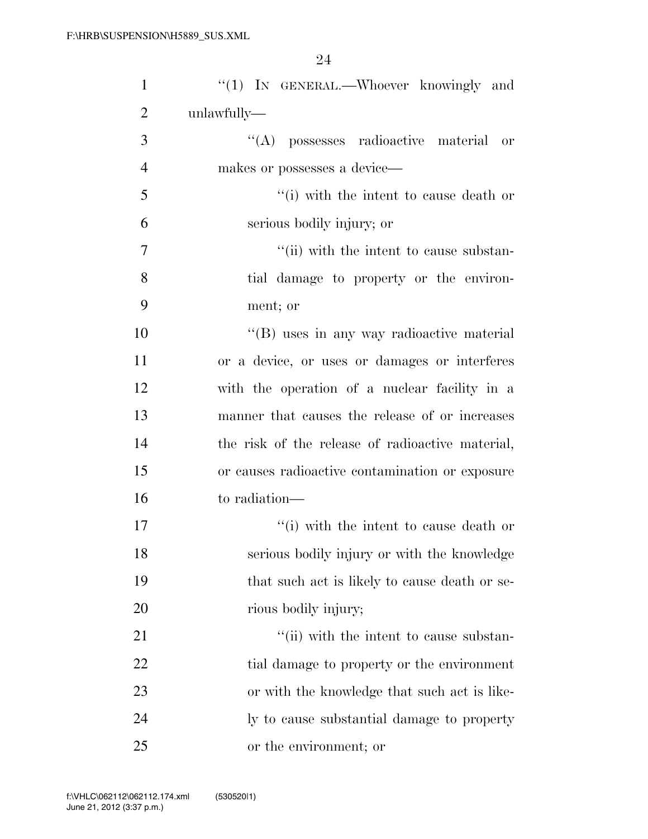| $\mathbf{1}$   | "(1) IN GENERAL.—Whoever knowingly and           |
|----------------|--------------------------------------------------|
| $\overline{2}$ | unlawfully-                                      |
| 3              | "(A) possesses radioactive material<br>or        |
| $\overline{4}$ | makes or possesses a device—                     |
| 5              | "(i) with the intent to cause death or           |
| 6              | serious bodily injury; or                        |
| 7              | "(ii) with the intent to cause substan-          |
| 8              | tial damage to property or the environ-          |
| 9              | ment; or                                         |
| 10             | "(B) uses in any way radioactive material        |
| 11             | or a device, or uses or damages or interferes    |
| 12             | with the operation of a nuclear facility in a    |
| 13             | manner that causes the release of or increases   |
| 14             | the risk of the release of radioactive material, |
| 15             | or causes radioactive contamination or exposure  |
| 16             | to radiation—                                    |
| 17             | "(i) with the intent to cause death or           |
| 18             | serious bodily injury or with the knowledge      |
| 19             | that such act is likely to cause death or se-    |
| 20             | rious bodily injury;                             |
| 21             | "(ii) with the intent to cause substan-          |
| 22             | tial damage to property or the environment       |
| 23             | or with the knowledge that such act is like-     |
| 24             | ly to cause substantial damage to property       |
| 25             | or the environment; or                           |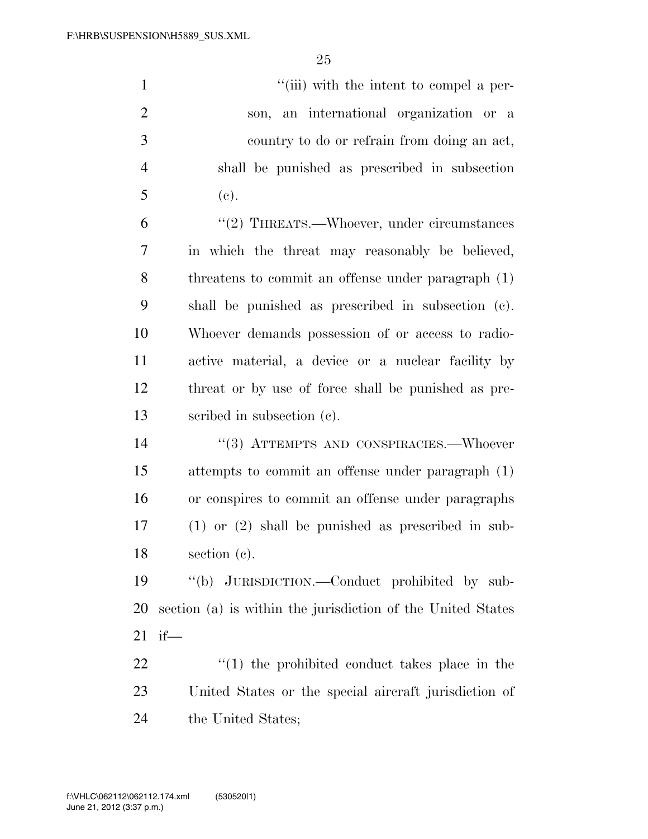$''(iii)$  with the intent to compel a per- son, an international organization or a country to do or refrain from doing an act, shall be punished as prescribed in subsection (c). 6 "(2) THREATS.—Whoever, under circumstances in which the threat may reasonably be believed, threatens to commit an offense under paragraph (1) shall be punished as prescribed in subsection (c). Whoever demands possession of or access to radio- active material, a device or a nuclear facility by threat or by use of force shall be punished as pre- scribed in subsection (c). ''(3) ATTEMPTS AND CONSPIRACIES.—Whoever attempts to commit an offense under paragraph (1) or conspires to commit an offense under paragraphs

 (1) or (2) shall be punished as prescribed in sub-section (c).

 ''(b) JURISDICTION.—Conduct prohibited by sub- section (a) is within the jurisdiction of the United States if—

22  $\frac{1}{2}$  (1) the prohibited conduct takes place in the United States or the special aircraft jurisdiction of the United States;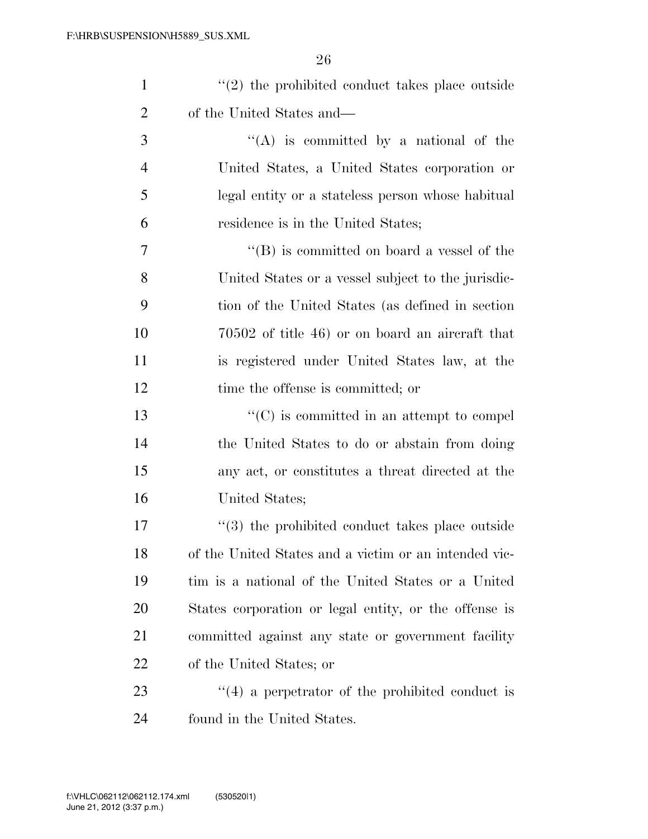| $\mathbf{1}$   | $\lq(2)$ the prohibited conduct takes place outside    |
|----------------|--------------------------------------------------------|
| $\overline{2}$ | of the United States and—                              |
| 3              | "(A) is committed by a national of the                 |
| $\overline{4}$ | United States, a United States corporation or          |
| 5              | legal entity or a stateless person whose habitual      |
| 6              | residence is in the United States;                     |
| $\tau$         | $\lq\lq (B)$ is committed on board a vessel of the     |
| 8              | United States or a vessel subject to the jurisdic-     |
| 9              | tion of the United States (as defined in section       |
| 10             | $70502$ of title 46) or on board an aircraft that      |
| 11             | is registered under United States law, at the          |
| 12             | time the offense is committed; or                      |
| 13             | $\lq\lq$ (C) is committed in an attempt to compel      |
| 14             | the United States to do or abstain from doing          |
| 15             | any act, or constitutes a threat directed at the       |
| 16             | United States;                                         |
| 17             | $\cdot$ (3) the prohibited conduct takes place outside |
| 18             | of the United States and a victim or an intended vic-  |
| 19             | tim is a national of the United States or a United     |
| <b>20</b>      | States corporation or legal entity, or the offense is  |
| 21             | committed against any state or government facility     |
| 22             | of the United States; or                               |
| 23             | $\cdot$ (4) a perpetrator of the prohibited conduct is |
| 24             | found in the United States.                            |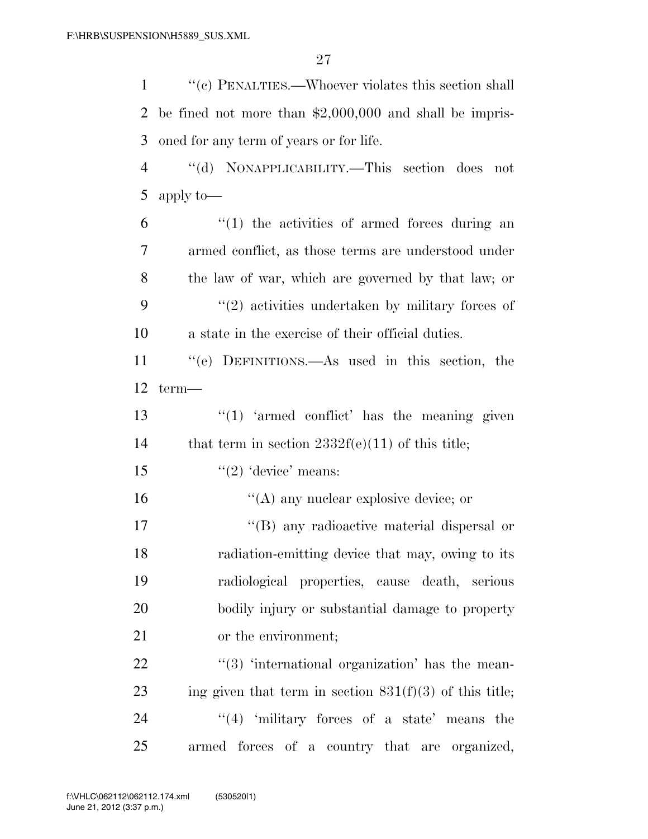''(c) PENALTIES.—Whoever violates this section shall be fined not more than \$2,000,000 and shall be impris-oned for any term of years or for life.

 ''(d) NONAPPLICABILITY.—This section does not apply to—

 ''(1) the activities of armed forces during an armed conflict, as those terms are understood under the law of war, which are governed by that law; or 9 ''(2) activities undertaken by military forces of a state in the exercise of their official duties.

 ''(e) DEFINITIONS.—As used in this section, the term—

13  $\frac{u(1)}{2}$  'armed conflict' has the meaning given 14 that term in section  $2332f(e)(11)$  of this title;

15  $\frac{1}{2}$   $\frac{1}{2}$  device' means:

16  $\frac{16}{2}$  (A) any nuclear explosive device; or

 ''(B) any radioactive material dispersal or radiation-emitting device that may, owing to its radiological properties, cause death, serious bodily injury or substantial damage to property or the environment;

  $(3)$  'international organization' has the mean-23 ing given that term in section  $831(f)(3)$  of this title;  $\frac{4}{1}$  'military forces of a state' means the armed forces of a country that are organized,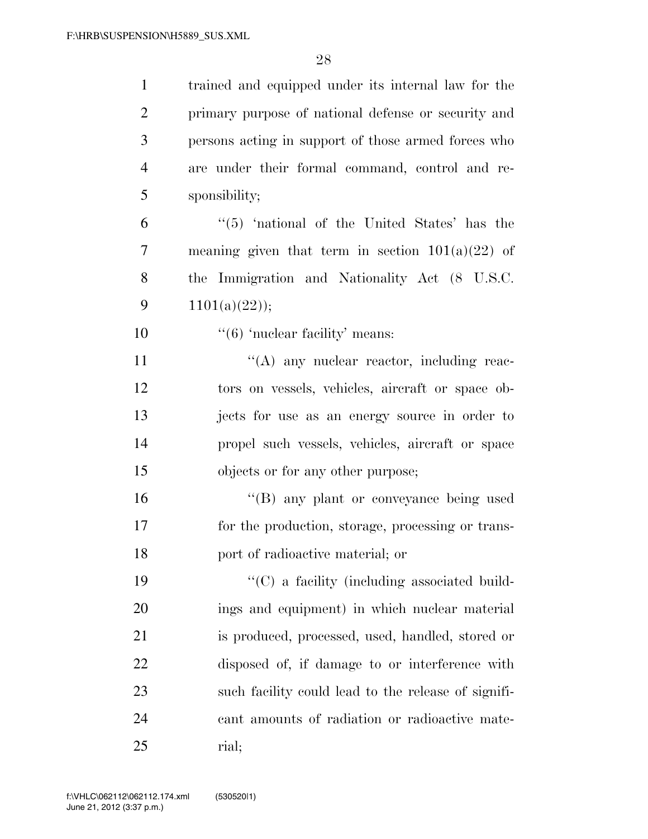| $\mathbf{1}$   | trained and equipped under its internal law for the |
|----------------|-----------------------------------------------------|
| $\overline{2}$ | primary purpose of national defense or security and |
| 3              | persons acting in support of those armed forces who |
| $\overline{4}$ | are under their formal command, control and re-     |
| 5              | sponsibility;                                       |
| 6              | $\cdot$ (5) 'national of the United States' has the |
| 7              | meaning given that term in section $101(a)(22)$ of  |
| 8              | the Immigration and Nationality Act (8 U.S.C.       |
| 9              | 1101(a)(22));                                       |
| 10             | $\cdot\cdot$ (6) 'nuclear facility' means:          |
| 11             | "(A) any nuclear reactor, including reac-           |
| 12             | tors on vessels, vehicles, aircraft or space ob-    |
| 13             | jects for use as an energy source in order to       |
| 14             | propel such vessels, vehicles, aircraft or space    |
| 15             | objects or for any other purpose;                   |
| 16             | "(B) any plant or conveyance being used             |
| 17             | for the production, storage, processing or trans-   |
| 18             | port of radioactive material; or                    |
| 19             | "(C) a facility (including associated build-        |
| 20             | ings and equipment) in which nuclear material       |
| 21             | is produced, processed, used, handled, stored or    |
| 22             | disposed of, if damage to or interference with      |
| 23             | such facility could lead to the release of signifi- |
| 24             | cant amounts of radiation or radioactive mate-      |
| 25             | rial;                                               |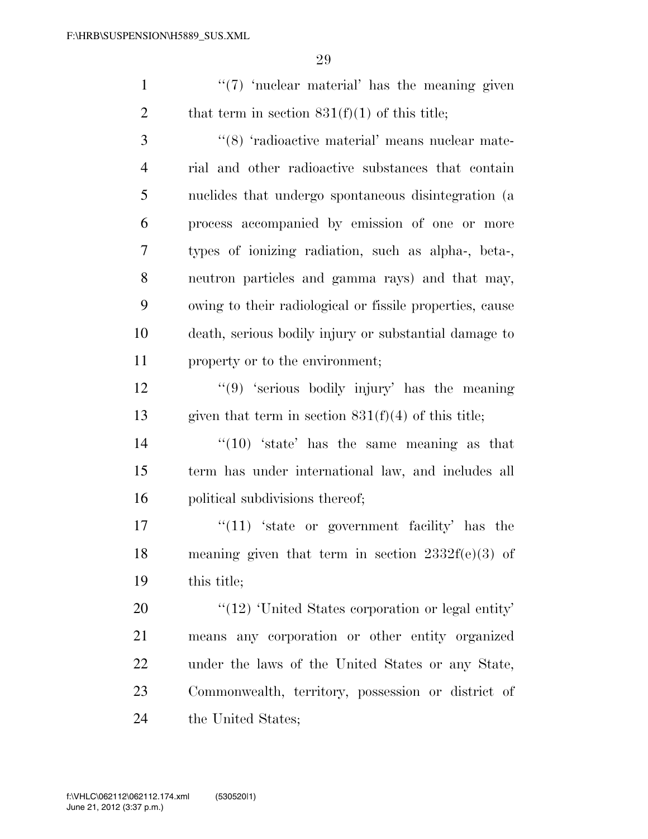1  $\frac{1}{2}$   $\frac{1}{2}$  'nuclear material' has the meaning given 2 that term in section  $831(f)(1)$  of this title;

3 '(8) 'radioactive material' means nuclear mate- rial and other radioactive substances that contain nuclides that undergo spontaneous disintegration (a process accompanied by emission of one or more types of ionizing radiation, such as alpha-, beta-, neutron particles and gamma rays) and that may, owing to their radiological or fissile properties, cause death, serious bodily injury or substantial damage to property or to the environment;

 ''(9) 'serious bodily injury' has the meaning 13 given that term in section  $831(f)(4)$  of this title;

14  $\frac{1}{2}$   $\frac{1}{2}$   $\frac{1}{2}$   $\frac{1}{2}$   $\frac{1}{2}$   $\frac{1}{2}$   $\frac{1}{2}$   $\frac{1}{2}$   $\frac{1}{2}$   $\frac{1}{2}$   $\frac{1}{2}$   $\frac{1}{2}$   $\frac{1}{2}$   $\frac{1}{2}$   $\frac{1}{2}$   $\frac{1}{2}$   $\frac{1}{2}$   $\frac{1}{2}$   $\frac{1}{2}$   $\frac{1}{2}$   $\frac{1}{2}$   $\frac{1}{2}$  term has under international law, and includes all political subdivisions thereof;

 $\frac{17}{11}$  'state or government facility' has the meaning given that term in section 2332f(e)(3) of this title;

 $\frac{1}{2}$  Thited States corporation or legal entity' means any corporation or other entity organized under the laws of the United States or any State, Commonwealth, territory, possession or district of 24 the United States;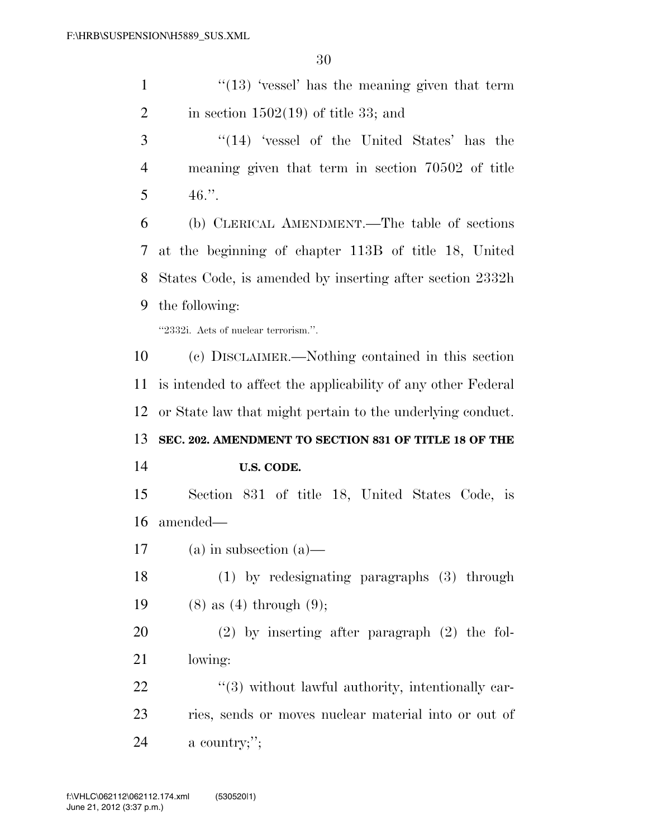1 ''(13) 'vessel' has the meaning given that term 2 in section  $1502(19)$  of title 33; and

 ''(14) 'vessel of the United States' has the meaning given that term in section 70502 of title  $5 \t 46."$ 

 (b) CLERICAL AMENDMENT.—The table of sections at the beginning of chapter 113B of title 18, United States Code, is amended by inserting after section 2332h the following:

''2332i. Acts of nuclear terrorism.''.

 (c) DISCLAIMER.—Nothing contained in this section is intended to affect the applicability of any other Federal or State law that might pertain to the underlying conduct. **SEC. 202. AMENDMENT TO SECTION 831 OF TITLE 18 OF THE U.S. CODE.** 

 Section 831 of title 18, United States Code, is amended—

(a) in subsection (a)—

 (1) by redesignating paragraphs (3) through 19 (8) as (4) through (9);

 (2) by inserting after paragraph (2) the fol-lowing:

  $(3)$  without lawful authority, intentionally car- ries, sends or moves nuclear material into or out of a country;'';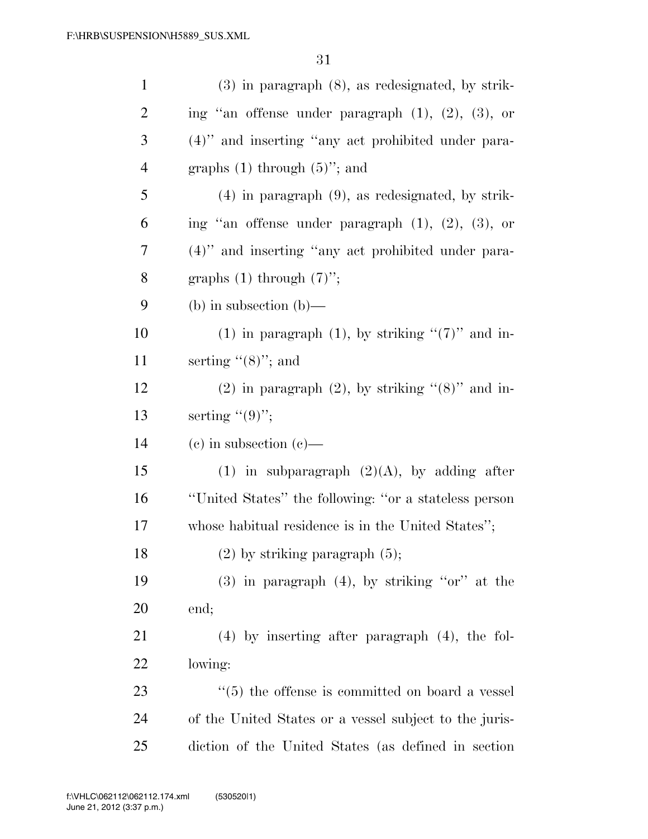| $\mathbf{1}$   | $(3)$ in paragraph $(8)$ , as redesignated, by strik-       |
|----------------|-------------------------------------------------------------|
| $\overline{2}$ | ing "an offense under paragraph $(1)$ , $(2)$ , $(3)$ , or  |
| 3              | (4)" and inserting "any act prohibited under para-          |
| $\overline{4}$ | graphs $(1)$ through $(5)$ "; and                           |
| 5              | $(4)$ in paragraph $(9)$ , as redesignated, by strik-       |
| 6              | ing "an offense under paragraph $(1)$ , $(2)$ , $(3)$ , or  |
| 7              | $(4)$ " and inserting "any act prohibited under para-       |
| 8              | graphs $(1)$ through $(7)$ ";                               |
| 9              | (b) in subsection (b)—                                      |
| 10             | (1) in paragraph (1), by striking " $(7)$ " and in-         |
| 11             | serting $(8)$ "; and                                        |
| 12             | $(2)$ in paragraph $(2)$ , by striking " $(8)$ " and in-    |
| 13             | serting $((9)$ ";                                           |
| 14             | $(e)$ in subsection $(e)$ —                                 |
| 15             | (1) in subparagraph $(2)(A)$ , by adding after              |
| 16             | "United States" the following: "or a stateless person       |
| 17             | whose habitual residence is in the United States";          |
| 18             | $(2)$ by striking paragraph $(5)$ ;                         |
| 19             | $(3)$ in paragraph $(4)$ , by striking "or" at the          |
| 20             | end;                                                        |
| 21             | $(4)$ by inserting after paragraph $(4)$ , the fol-         |
| 22             | lowing:                                                     |
| 23             | $\cdot\cdot$ (5) the offense is committed on board a vessel |
| 24             | of the United States or a vessel subject to the juris-      |
| 25             | diction of the United States (as defined in section         |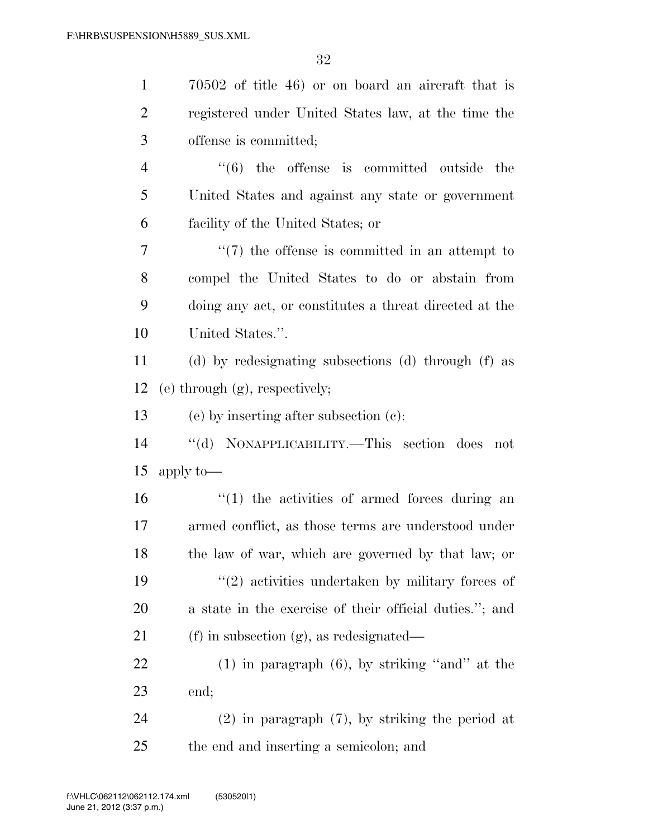| $\mathbf{1}$   | $70502$ of title 46) or on board an aircraft that is      |
|----------------|-----------------------------------------------------------|
| $\overline{2}$ | registered under United States law, at the time the       |
| 3              | offense is committed;                                     |
| $\overline{4}$ | $\cdot\cdot\cdot(6)$ the offense is committed outside the |
| 5              | United States and against any state or government         |
| 6              | facility of the United States; or                         |
| 7              | $\lq(7)$ the offense is committed in an attempt to        |
| 8              | compel the United States to do or abstain from            |
| 9              | doing any act, or constitutes a threat directed at the    |
| 10             | United States.".                                          |
| 11             | (d) by redesignating subsections (d) through (f) as       |
| 12             | $(e)$ through $(g)$ , respectively;                       |
| 13             | (e) by inserting after subsection (c):                    |
| 14             | "(d) NONAPPLICABILITY.—This section does not              |
| 15             | apply to-                                                 |
| 16             | $"(1)$ the activities of armed forces during an           |
| 17             | armed conflict, as those terms are understood under       |
| 18             | the law of war, which are governed by that law; or        |
| 19             | $(2)$ activities undertaken by military forces of         |
| 20             | a state in the exercise of their official duties."; and   |
| 21             | $(f)$ in subsection $(g)$ , as redesignated—              |
| 22             | $(1)$ in paragraph $(6)$ , by striking "and" at the       |
| 23             | end;                                                      |
| 24             | $(2)$ in paragraph $(7)$ , by striking the period at      |
| 25             | the end and inserting a semicolon; and                    |